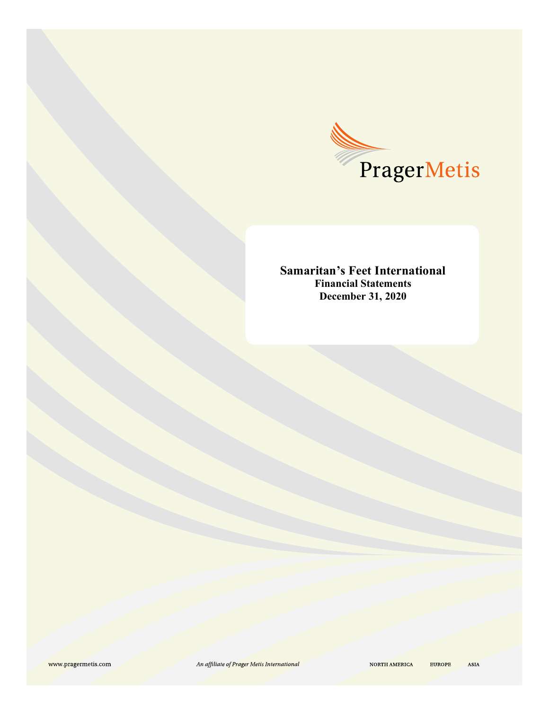

**Samaritan's Feet International Financial Statements December 31, 2020**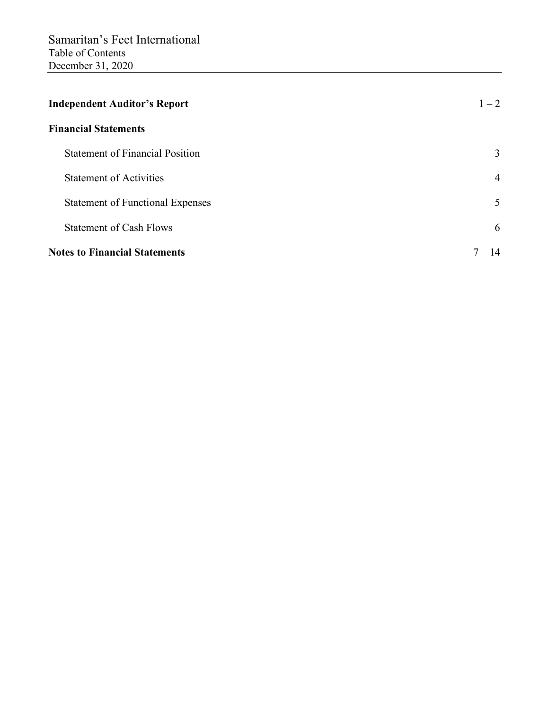| <b>Independent Auditor's Report</b>     | $1 - 2$  |
|-----------------------------------------|----------|
| <b>Financial Statements</b>             |          |
| <b>Statement of Financial Position</b>  | 3        |
| <b>Statement of Activities</b>          | 4        |
| <b>Statement of Functional Expenses</b> | 5        |
| <b>Statement of Cash Flows</b>          | 6        |
| <b>Notes to Financial Statements</b>    | $7 - 14$ |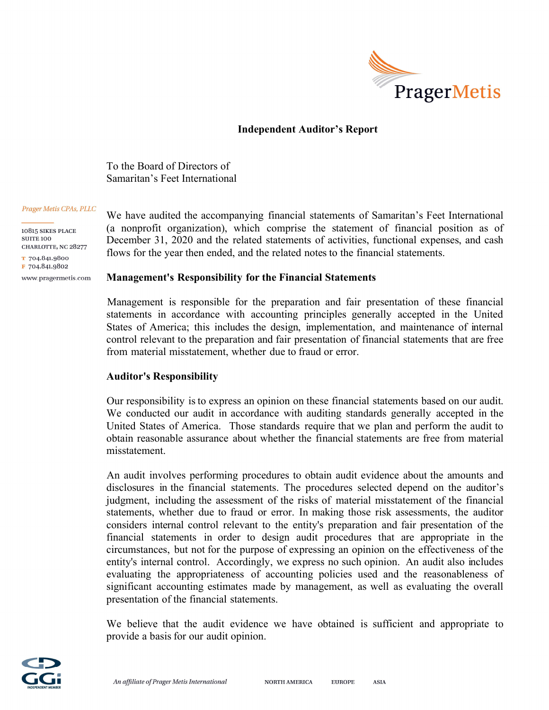

## **Independent Auditor's Report**

To the Board of Directors of Samaritan's Feet International

#### Prager Metis CPAs, PLLC

 $10815$  SIKES PLACE **SUITE 100** CHARLOTTE, NC 28277

T 704.841.9800 F 704.841.9802

www.pragermetis.com

## We have audited the accompanying financial statements of Samaritan's Feet International (a nonprofit organization), which comprise the statement of financial position as of December 31, 2020 and the related statements of activities, functional expenses, and cash flows for the year then ended, and the related notes to the financial statements.

#### **Management's Responsibility for the Financial Statements**

Management is responsible for the preparation and fair presentation of these financial statements in accordance with accounting principles generally accepted in the United States of America; this includes the design, implementation, and maintenance of internal control relevant to the preparation and fair presentation of financial statements that are free from material misstatement, whether due to fraud or error.

#### **Auditor's Responsibility**

Our responsibility is to express an opinion on these financial statements based on our audit. We conducted our audit in accordance with auditing standards generally accepted in the United States of America. Those standards require that we plan and perform the audit to obtain reasonable assurance about whether the financial statements are free from material misstatement.

An audit involves performing procedures to obtain audit evidence about the amounts and disclosures in the financial statements. The procedures selected depend on the auditor's judgment, including the assessment of the risks of material misstatement of the financial statements, whether due to fraud or error. In making those risk assessments, the auditor considers internal control relevant to the entity's preparation and fair presentation of the financial statements in order to design audit procedures that are appropriate in the circumstances, but not for the purpose of expressing an opinion on the effectiveness of the entity's internal control. Accordingly, we express no such opinion. An audit also includes evaluating the appropriateness of accounting policies used and the reasonableness of significant accounting estimates made by management, as well as evaluating the overall presentation of the financial statements.

We believe that the audit evidence we have obtained is sufficient and appropriate to provide a basis for our audit opinion.

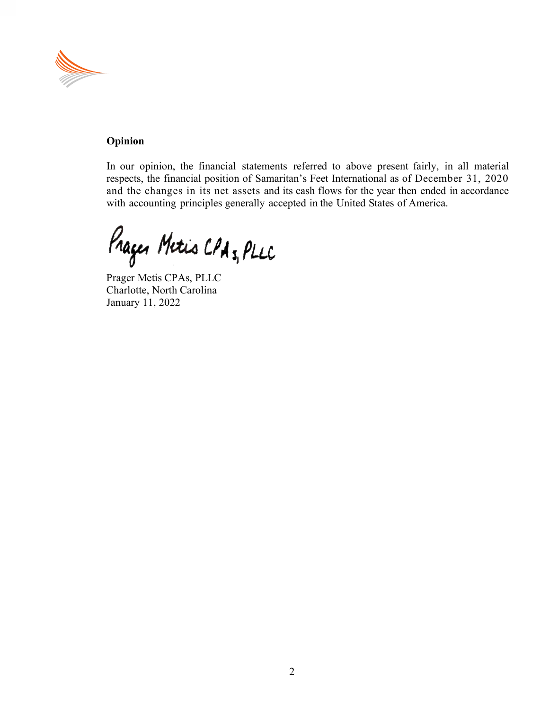

## **Opinion**

In our opinion, the financial statements referred to above present fairly, in all material respects, the financial position of Samaritan's Feet International as of December 31, 2020 and the changes in its net assets and its cash flows for the year then ended in accordance with accounting principles generally accepted in the United States of America.

Prager Metris CPA 5, PLLC

Prager Metis CPAs, PLLC Charlotte, North Carolina January 11, 2022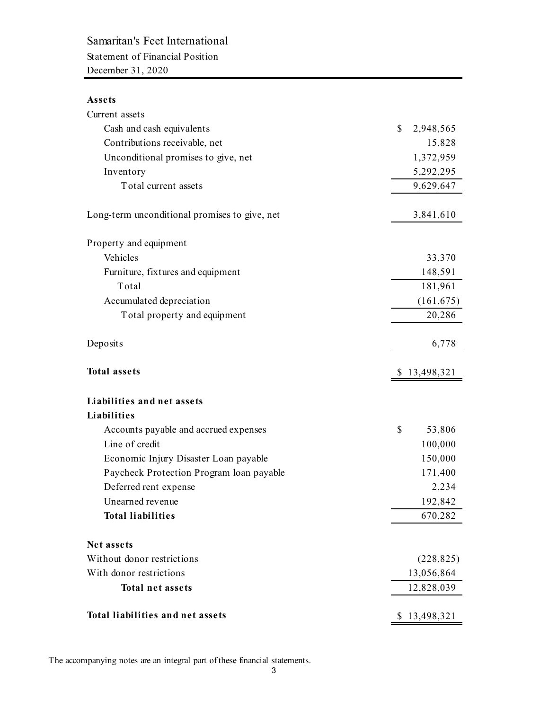# Samaritan's Feet International

Statement of Financial Position December 31, 2020

## **Assets**

| Current assets                                |                 |
|-----------------------------------------------|-----------------|
| Cash and cash equivalents                     | \$<br>2,948,565 |
| Contributions receivable, net                 | 15,828          |
| Unconditional promises to give, net           | 1,372,959       |
| Inventory                                     | 5,292,295       |
| Total current assets                          | 9,629,647       |
| Long-term unconditional promises to give, net | 3,841,610       |
| Property and equipment                        |                 |
| Vehicles                                      | 33,370          |
| Furniture, fixtures and equipment             | 148,591         |
| Total                                         | 181,961         |
| Accumulated depreciation                      | (161, 675)      |
| Total property and equipment                  | 20,286          |
| Deposits                                      | 6,778           |
| <b>Total assets</b>                           | \$13,498,321    |
| Liabilities and net assets                    |                 |
| Liabilities                                   |                 |
| Accounts payable and accrued expenses         | \$<br>53,806    |
| Line of credit                                | 100,000         |
| Economic Injury Disaster Loan payable         | 150,000         |
| Paycheck Protection Program loan payable      | 171,400         |
| Deferred rent expense                         | 2,234           |
| Unearned revenue                              | 192,842         |
| <b>Total liabilities</b>                      | 670,282         |
| Net assets                                    |                 |
| Without donor restrictions                    | (228, 825)      |
| With donor restrictions                       | 13,056,864      |
| <b>Total net assets</b>                       | 12,828,039      |
| <b>Total liabilities and net assets</b>       | \$13,498,321    |

The accompanying notes are an integral part of these financial statements.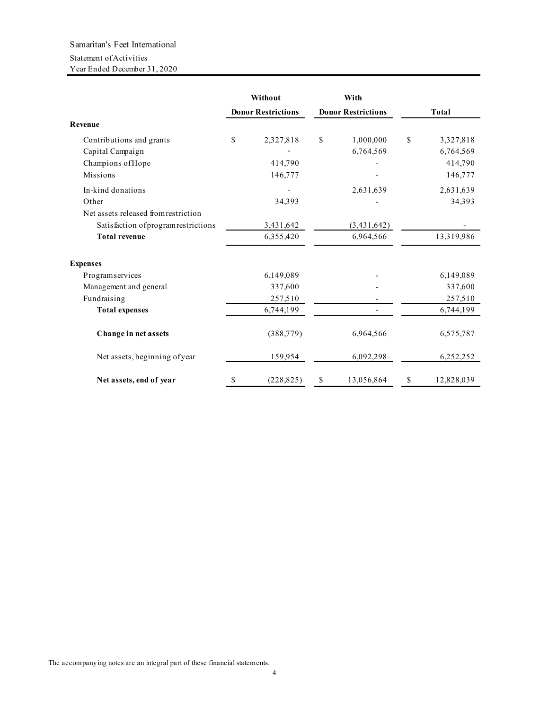## Samaritan's Feet International Statement of Activities Year Ended December 31, 2020

|                                      |                           | Without    |                           | With        |              |            |
|--------------------------------------|---------------------------|------------|---------------------------|-------------|--------------|------------|
|                                      | <b>Donor Restrictions</b> |            | <b>Donor Restrictions</b> |             | <b>Total</b> |            |
| Revenue                              |                           |            |                           |             |              |            |
| Contributions and grants             | \$                        | 2,327,818  | \$                        | 1,000,000   | \$           | 3,327,818  |
| Capital Campaign                     |                           |            |                           | 6,764,569   |              | 6,764,569  |
| Champions of Hope                    |                           | 414,790    |                           |             |              | 414,790    |
| Missions                             |                           | 146,777    |                           |             |              | 146,777    |
| In-kind donations                    |                           |            |                           | 2,631,639   |              | 2,631,639  |
| Other                                |                           | 34,393     |                           |             |              | 34,393     |
| Net assets released from restriction |                           |            |                           |             |              |            |
| Satisfaction of program restrictions |                           | 3,431,642  |                           | (3,431,642) |              |            |
| <b>Total revenue</b>                 |                           | 6,355,420  |                           | 6,964,566   |              | 13,319,986 |
| <b>Expenses</b>                      |                           |            |                           |             |              |            |
| Programservices                      |                           | 6,149,089  |                           |             |              | 6,149,089  |
| Management and general               |                           | 337,600    |                           |             |              | 337,600    |
| Fundraising                          |                           | 257,510    |                           |             |              | 257,510    |
| <b>Total expenses</b>                |                           | 6,744,199  |                           |             |              | 6,744,199  |
| Change in net assets                 |                           | (388, 779) |                           | 6,964,566   |              | 6,575,787  |
| Net assets, beginning of year        |                           | 159,954    |                           | 6,092,298   |              | 6,252,252  |
| Net assets, end of year              | S                         | (228, 825) | \$                        | 13,056,864  | S            | 12,828,039 |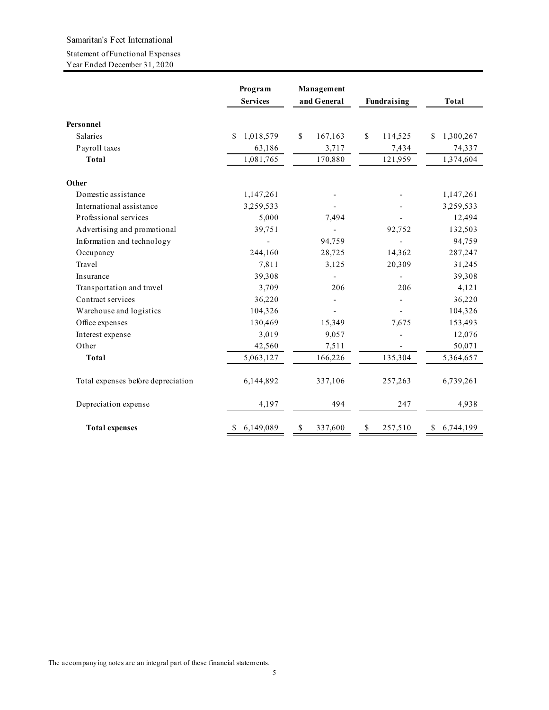#### Samaritan's Feet International

#### Statement of Functional Expenses

Year Ended December 31, 2020

|                                    | Program<br><b>Services</b> | Management<br>and General | <b>Fundraising</b> | <b>Total</b>    |
|------------------------------------|----------------------------|---------------------------|--------------------|-----------------|
|                                    |                            |                           |                    |                 |
| Personnel                          |                            |                           |                    |                 |
| Salaries                           | 1,018,579<br>\$.           | \$<br>167,163             | \$<br>114,525      | \$<br>1,300,267 |
| Payroll taxes                      | 63,186                     | 3,717                     | 7,434              | 74,337          |
| <b>Total</b>                       | 1,081,765                  | 170,880                   | 121,959            | 1,374,604       |
| Other                              |                            |                           |                    |                 |
| Domestic assistance                | 1,147,261                  |                           |                    | 1,147,261       |
| International assistance           | 3,259,533                  |                           |                    | 3,259,533       |
| Professional services              | 5,000                      | 7,494                     |                    | 12,494          |
| Advertising and promotional        | 39,751                     |                           | 92,752             | 132,503         |
| Information and technology         |                            | 94,759                    |                    | 94,759          |
| Occupancy                          | 244,160                    | 28,725                    | 14,362             | 287,247         |
| Travel                             | 7,811                      | 3,125                     | 20,309             | 31,245          |
| Insurance                          | 39,308                     |                           |                    | 39,308          |
| Transportation and travel          | 3,709                      | 206                       | 206                | 4,121           |
| Contract services                  | 36,220                     |                           |                    | 36,220          |
| Warehouse and logistics            | 104,326                    |                           |                    | 104,326         |
| Office expenses                    | 130,469                    | 15,349                    | 7,675              | 153,493         |
| Interest expense                   | 3,019                      | 9,057                     |                    | 12,076          |
| Other                              | 42,560                     | 7,511                     |                    | 50,071          |
| <b>Total</b>                       | 5,063,127                  | 166,226                   | 135,304            | 5,364,657       |
| Total expenses before depreciation | 6,144,892                  | 337,106                   | 257,263            | 6,739,261       |
| Depreciation expense               | 4,197                      | 494                       | 247                | 4,938           |
| <b>Total expenses</b>              | 6,149,089<br>\$            | \$<br>337,600             | \$<br>257,510      | 6,744,199<br>\$ |

The accompanying notes are an integral part of these financial statements.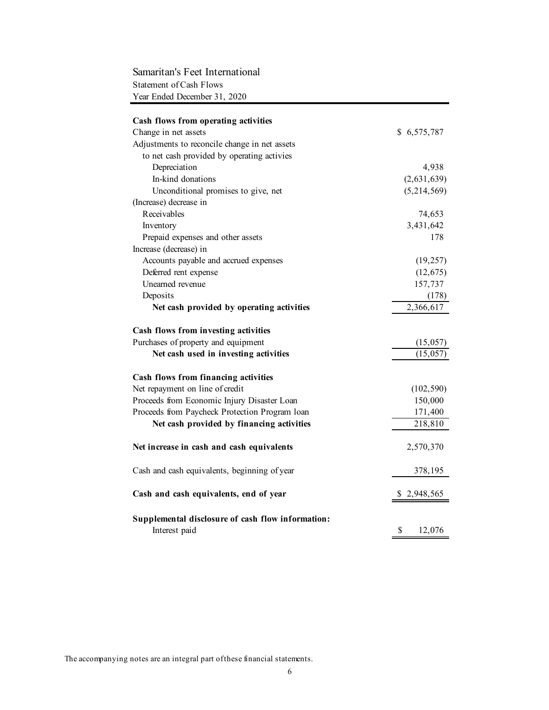## Statement of Cash Flows Year Ended December 31, 2020 Samaritan's Feet International

| Cash flows from operating activities                               |              |
|--------------------------------------------------------------------|--------------|
| Change in net assets                                               | \$6,575,787  |
| Adjustments to reconcile change in net assets                      |              |
| to net cash provided by operating activies                         |              |
| Depreciation                                                       | 4,938        |
| In-kind donations                                                  | (2,631,639)  |
| Unconditional promises to give, net                                | (5,214,569)  |
| (Increase) decrease in                                             |              |
| Receivables                                                        | 74,653       |
| Inventory                                                          | 3,431,642    |
| Prepaid expenses and other assets                                  | 178          |
| Increase (decrease) in                                             |              |
| Accounts payable and accrued expenses                              | (19, 257)    |
| Deferred rent expense                                              | (12, 675)    |
| Unearned revenue                                                   | 157,737      |
| Deposits                                                           | (178)        |
| Net cash provided by operating activities                          | 2,366,617    |
| Cash flows from investing activities                               |              |
| Purchases of property and equipment                                | (15, 057)    |
| Net cash used in investing activities                              | (15, 057)    |
| Cash flows from financing activities                               |              |
| Net repayment on line of credit                                    | (102, 590)   |
| Proceeds from Economic Injury Disaster Loan                        | 150,000      |
| Proceeds from Paycheck Protection Program loan                     | 171,400      |
| Net cash provided by financing activities                          | 218,810      |
|                                                                    |              |
| Net increase in cash and cash equivalents                          | 2,570,370    |
| Cash and cash equivalents, beginning of year                       | 378,195      |
| Cash and cash equivalents, end of year                             | \$2,948,565  |
| Supplemental disclosure of cash flow information:<br>Interest paid | \$<br>12,076 |

The accompanying notes are an integral part of these financial statements.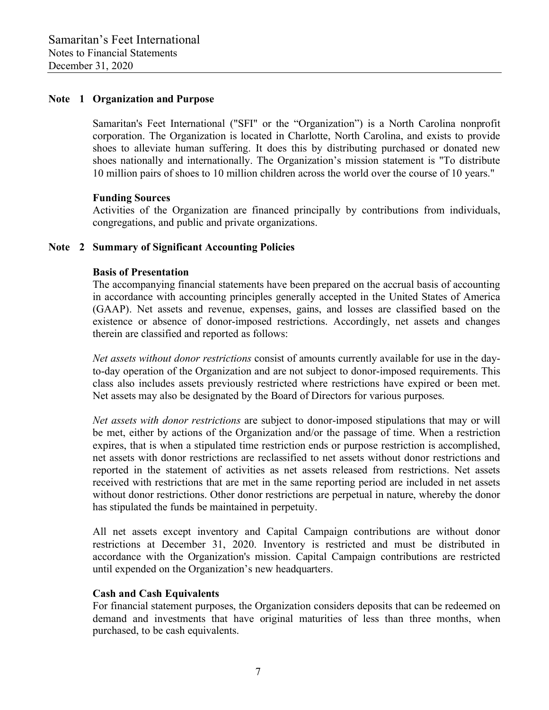### **Note 1 Organization and Purpose**

 Samaritan's Feet International ("SFI" or the "Organization") is a North Carolina nonprofit corporation. The Organization is located in Charlotte, North Carolina, and exists to provide shoes to alleviate human suffering. It does this by distributing purchased or donated new shoes nationally and internationally. The Organization's mission statement is "To distribute 10 million pairs of shoes to 10 million children across the world over the course of 10 years."

#### **Funding Sources**

 Activities of the Organization are financed principally by contributions from individuals, congregations, and public and private organizations.

## **Note 2 Summary of Significant Accounting Policies**

#### **Basis of Presentation**

 The accompanying financial statements have been prepared on the accrual basis of accounting in accordance with accounting principles generally accepted in the United States of America (GAAP). Net assets and revenue, expenses, gains, and losses are classified based on the existence or absence of donor-imposed restrictions. Accordingly, net assets and changes therein are classified and reported as follows:

*Net assets without donor restrictions* consist of amounts currently available for use in the dayto-day operation of the Organization and are not subject to donor-imposed requirements. This class also includes assets previously restricted where restrictions have expired or been met. Net assets may also be designated by the Board of Directors for various purposes.

*Net assets with donor restrictions* are subject to donor-imposed stipulations that may or will be met, either by actions of the Organization and/or the passage of time. When a restriction expires, that is when a stipulated time restriction ends or purpose restriction is accomplished, net assets with donor restrictions are reclassified to net assets without donor restrictions and reported in the statement of activities as net assets released from restrictions. Net assets received with restrictions that are met in the same reporting period are included in net assets without donor restrictions. Other donor restrictions are perpetual in nature, whereby the donor has stipulated the funds be maintained in perpetuity.

 All net assets except inventory and Capital Campaign contributions are without donor restrictions at December 31, 2020. Inventory is restricted and must be distributed in accordance with the Organization's mission. Capital Campaign contributions are restricted until expended on the Organization's new headquarters.

#### **Cash and Cash Equivalents**

 For financial statement purposes, the Organization considers deposits that can be redeemed on demand and investments that have original maturities of less than three months, when purchased, to be cash equivalents.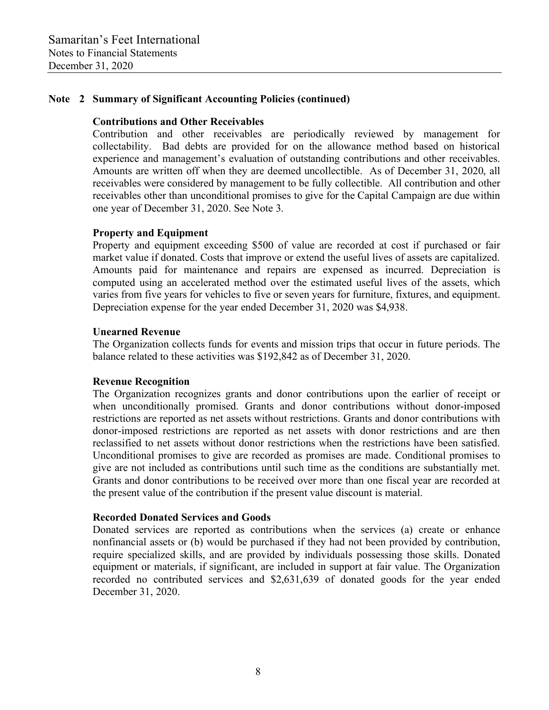## **Note 2 Summary of Significant Accounting Policies (continued)**

#### **Contributions and Other Receivables**

 Contribution and other receivables are periodically reviewed by management for collectability. Bad debts are provided for on the allowance method based on historical experience and management's evaluation of outstanding contributions and other receivables. Amounts are written off when they are deemed uncollectible. As of December 31, 2020, all receivables were considered by management to be fully collectible. All contribution and other receivables other than unconditional promises to give for the Capital Campaign are due within one year of December 31, 2020. See Note 3.

#### **Property and Equipment**

 Property and equipment exceeding \$500 of value are recorded at cost if purchased or fair market value if donated. Costs that improve or extend the useful lives of assets are capitalized. Amounts paid for maintenance and repairs are expensed as incurred. Depreciation is computed using an accelerated method over the estimated useful lives of the assets, which varies from five years for vehicles to five or seven years for furniture, fixtures, and equipment. Depreciation expense for the year ended December 31, 2020 was \$4,938.

#### **Unearned Revenue**

 The Organization collects funds for events and mission trips that occur in future periods. The balance related to these activities was \$192,842 as of December 31, 2020.

#### **Revenue Recognition**

 The Organization recognizes grants and donor contributions upon the earlier of receipt or when unconditionally promised. Grants and donor contributions without donor-imposed restrictions are reported as net assets without restrictions. Grants and donor contributions with donor-imposed restrictions are reported as net assets with donor restrictions and are then reclassified to net assets without donor restrictions when the restrictions have been satisfied. Unconditional promises to give are recorded as promises are made. Conditional promises to give are not included as contributions until such time as the conditions are substantially met. Grants and donor contributions to be received over more than one fiscal year are recorded at the present value of the contribution if the present value discount is material.

#### **Recorded Donated Services and Goods**

 Donated services are reported as contributions when the services (a) create or enhance nonfinancial assets or (b) would be purchased if they had not been provided by contribution, require specialized skills, and are provided by individuals possessing those skills. Donated equipment or materials, if significant, are included in support at fair value. The Organization recorded no contributed services and \$2,631,639 of donated goods for the year ended December 31, 2020.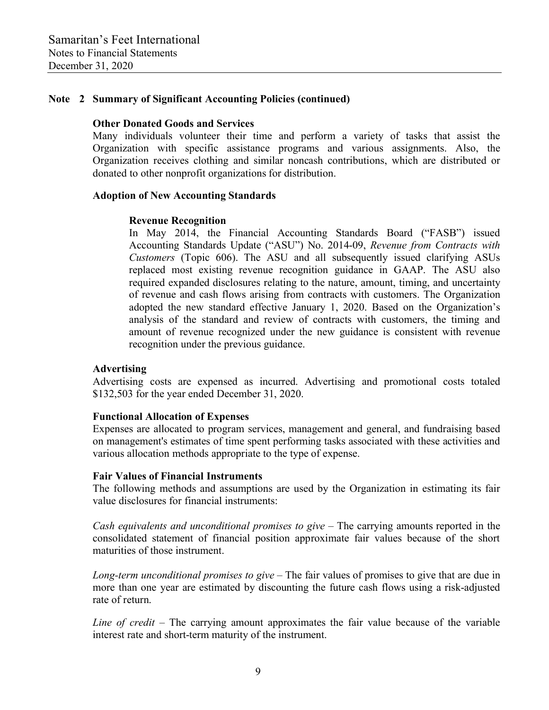## **Note 2 Summary of Significant Accounting Policies (continued)**

#### **Other Donated Goods and Services**

 Many individuals volunteer their time and perform a variety of tasks that assist the Organization with specific assistance programs and various assignments. Also, the Organization receives clothing and similar noncash contributions, which are distributed or donated to other nonprofit organizations for distribution.

## **Adoption of New Accounting Standards**

#### **Revenue Recognition**

In May 2014, the Financial Accounting Standards Board ("FASB") issued Accounting Standards Update ("ASU") No. 2014-09, *Revenue from Contracts with Customers* (Topic 606). The ASU and all subsequently issued clarifying ASUs replaced most existing revenue recognition guidance in GAAP. The ASU also required expanded disclosures relating to the nature, amount, timing, and uncertainty of revenue and cash flows arising from contracts with customers. The Organization adopted the new standard effective January 1, 2020. Based on the Organization's analysis of the standard and review of contracts with customers, the timing and amount of revenue recognized under the new guidance is consistent with revenue recognition under the previous guidance.

## **Advertising**

 Advertising costs are expensed as incurred. Advertising and promotional costs totaled \$132,503 for the year ended December 31, 2020.

## **Functional Allocation of Expenses**

 Expenses are allocated to program services, management and general, and fundraising based on management's estimates of time spent performing tasks associated with these activities and various allocation methods appropriate to the type of expense.

#### **Fair Values of Financial Instruments**

 The following methods and assumptions are used by the Organization in estimating its fair value disclosures for financial instruments:

*Cash equivalents and unconditional promises to give* – The carrying amounts reported in the consolidated statement of financial position approximate fair values because of the short maturities of those instrument.

 *Long-term unconditional promises to give* – The fair values of promises to give that are due in more than one year are estimated by discounting the future cash flows using a risk-adjusted rate of return.

*Line of credit* – The carrying amount approximates the fair value because of the variable interest rate and short-term maturity of the instrument.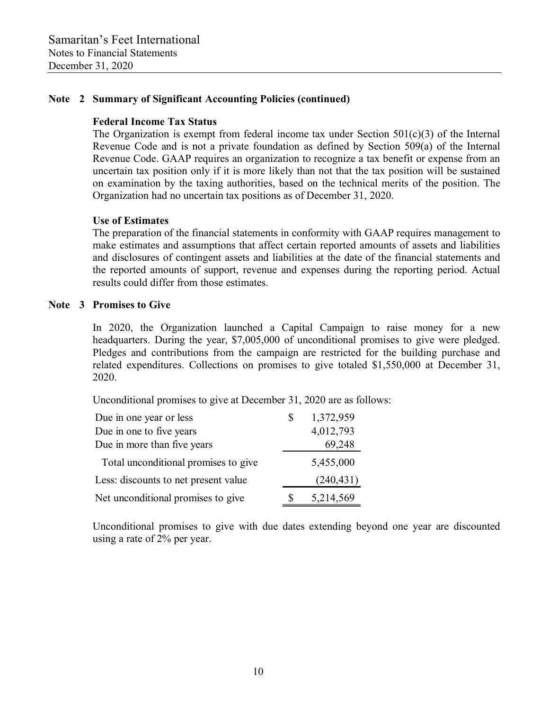## **Note 2 Summary of Significant Accounting Policies (continued)**

### **Federal Income Tax Status**

The Organization is exempt from federal income tax under Section  $501(c)(3)$  of the Internal Revenue Code and is not a private foundation as defined by Section 509(a) of the Internal Revenue Code. GAAP requires an organization to recognize a tax benefit or expense from an uncertain tax position only if it is more likely than not that the tax position will be sustained on examination by the taxing authorities, based on the technical merits of the position. The Organization had no uncertain tax positions as of December 31, 2020.

## **Use of Estimates**

 The preparation of the financial statements in conformity with GAAP requires management to make estimates and assumptions that affect certain reported amounts of assets and liabilities and disclosures of contingent assets and liabilities at the date of the financial statements and the reported amounts of support, revenue and expenses during the reporting period. Actual results could differ from those estimates.

## **Note 3 Promises to Give**

 In 2020, the Organization launched a Capital Campaign to raise money for a new headquarters. During the year, \$7,005,000 of unconditional promises to give were pledged. Pledges and contributions from the campaign are restricted for the building purchase and related expenditures. Collections on promises to give totaled \$1,550,000 at December 31, 2020.

Unconditional promises to give at December 31, 2020 are as follows:

| Due in one year or less              |   | 1,372,959  |
|--------------------------------------|---|------------|
| Due in one to five years             |   | 4,012,793  |
| Due in more than five years          |   | 69,248     |
| Total unconditional promises to give |   | 5,455,000  |
| Less: discounts to net present value |   | (240, 431) |
| Net unconditional promises to give   | S | 5,214,569  |

 Unconditional promises to give with due dates extending beyond one year are discounted using a rate of 2% per year.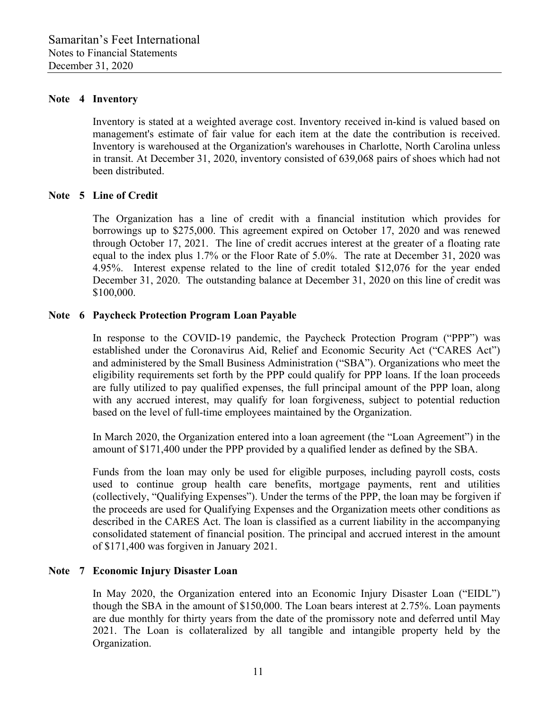#### **Note 4 Inventory**

 Inventory is stated at a weighted average cost. Inventory received in-kind is valued based on management's estimate of fair value for each item at the date the contribution is received. Inventory is warehoused at the Organization's warehouses in Charlotte, North Carolina unless in transit. At December 31, 2020, inventory consisted of 639,068 pairs of shoes which had not been distributed.

#### **Note 5 Line of Credit**

 The Organization has a line of credit with a financial institution which provides for borrowings up to \$275,000. This agreement expired on October 17, 2020 and was renewed through October 17, 2021. The line of credit accrues interest at the greater of a floating rate equal to the index plus 1.7% or the Floor Rate of 5.0%. The rate at December 31, 2020 was 4.95%. Interest expense related to the line of credit totaled \$12,076 for the year ended December 31, 2020. The outstanding balance at December 31, 2020 on this line of credit was \$100,000.

#### **Note 6 Paycheck Protection Program Loan Payable**

In response to the COVID-19 pandemic, the Paycheck Protection Program ("PPP") was established under the Coronavirus Aid, Relief and Economic Security Act ("CARES Act") and administered by the Small Business Administration ("SBA"). Organizations who meet the eligibility requirements set forth by the PPP could qualify for PPP loans. If the loan proceeds are fully utilized to pay qualified expenses, the full principal amount of the PPP loan, along with any accrued interest, may qualify for loan forgiveness, subject to potential reduction based on the level of full-time employees maintained by the Organization.

In March 2020, the Organization entered into a loan agreement (the "Loan Agreement") in the amount of \$171,400 under the PPP provided by a qualified lender as defined by the SBA.

Funds from the loan may only be used for eligible purposes, including payroll costs, costs used to continue group health care benefits, mortgage payments, rent and utilities (collectively, "Qualifying Expenses"). Under the terms of the PPP, the loan may be forgiven if the proceeds are used for Qualifying Expenses and the Organization meets other conditions as described in the CARES Act. The loan is classified as a current liability in the accompanying consolidated statement of financial position. The principal and accrued interest in the amount of \$171,400 was forgiven in January 2021.

## **Note 7 Economic Injury Disaster Loan**

In May 2020, the Organization entered into an Economic Injury Disaster Loan ("EIDL") though the SBA in the amount of \$150,000. The Loan bears interest at 2.75%. Loan payments are due monthly for thirty years from the date of the promissory note and deferred until May 2021. The Loan is collateralized by all tangible and intangible property held by the Organization.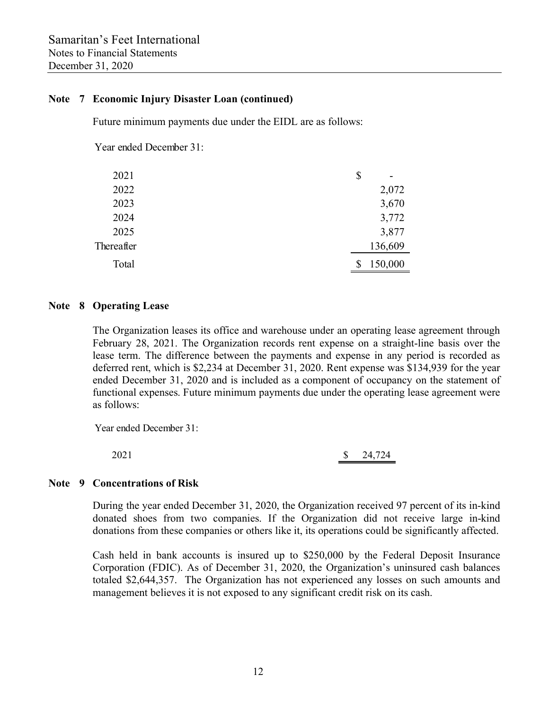## **Note 7 Economic Injury Disaster Loan (continued)**

Future minimum payments due under the EIDL are as follows:

Year ended December 31:

| 2021       | \$<br>- |
|------------|---------|
| 2022       | 2,072   |
| 2023       | 3,670   |
| 2024       | 3,772   |
| 2025       | 3,877   |
| Thereafter | 136,609 |
| Total      | 150,000 |

#### **Note 8 Operating Lease**

 The Organization leases its office and warehouse under an operating lease agreement through February 28, 2021. The Organization records rent expense on a straight-line basis over the lease term. The difference between the payments and expense in any period is recorded as deferred rent, which is \$2,234 at December 31, 2020. Rent expense was \$134,939 for the year ended December 31, 2020 and is included as a component of occupancy on the statement of functional expenses. Future minimum payments due under the operating lease agreement were as follows:

Year ended December 31:

2021 \$ 24,724

## **Note 9 Concentrations of Risk**

 During the year ended December 31, 2020, the Organization received 97 percent of its in-kind donated shoes from two companies. If the Organization did not receive large in-kind donations from these companies or others like it, its operations could be significantly affected.

 Cash held in bank accounts is insured up to \$250,000 by the Federal Deposit Insurance Corporation (FDIC). As of December 31, 2020, the Organization's uninsured cash balances totaled \$2,644,357. The Organization has not experienced any losses on such amounts and management believes it is not exposed to any significant credit risk on its cash.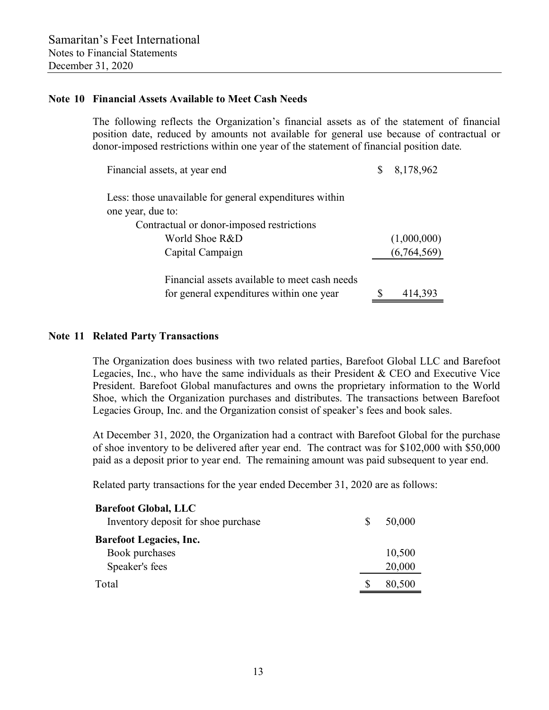### **Note 10 Financial Assets Available to Meet Cash Needs**

 The following reflects the Organization's financial assets as of the statement of financial position date, reduced by amounts not available for general use because of contractual or donor-imposed restrictions within one year of the statement of financial position date.

| Financial assets, at year end                                                             | 8,178,962   |
|-------------------------------------------------------------------------------------------|-------------|
| Less: those unavailable for general expenditures within                                   |             |
| one year, due to:                                                                         |             |
| Contractual or donor-imposed restrictions                                                 |             |
| World Shoe R&D                                                                            | (1,000,000) |
| Capital Campaign                                                                          | (6,764,569) |
| Financial assets available to meet cash needs<br>for general expenditures within one year | 414,393     |
|                                                                                           |             |

#### **Note 11 Related Party Transactions**

 The Organization does business with two related parties, Barefoot Global LLC and Barefoot Legacies, Inc., who have the same individuals as their President & CEO and Executive Vice President. Barefoot Global manufactures and owns the proprietary information to the World Shoe, which the Organization purchases and distributes. The transactions between Barefoot Legacies Group, Inc. and the Organization consist of speaker's fees and book sales.

 At December 31, 2020, the Organization had a contract with Barefoot Global for the purchase of shoe inventory to be delivered after year end. The contract was for \$102,000 with \$50,000 paid as a deposit prior to year end. The remaining amount was paid subsequent to year end.

Related party transactions for the year ended December 31, 2020 are as follows:

| <b>Barefoot Global, LLC</b>         |   |        |
|-------------------------------------|---|--------|
| Inventory deposit for shoe purchase | S | 50,000 |
| <b>Barefoot Legacies, Inc.</b>      |   |        |
| Book purchases                      |   | 10,500 |
| Speaker's fees                      |   | 20,000 |
| Total                               |   | 80,500 |
|                                     |   |        |